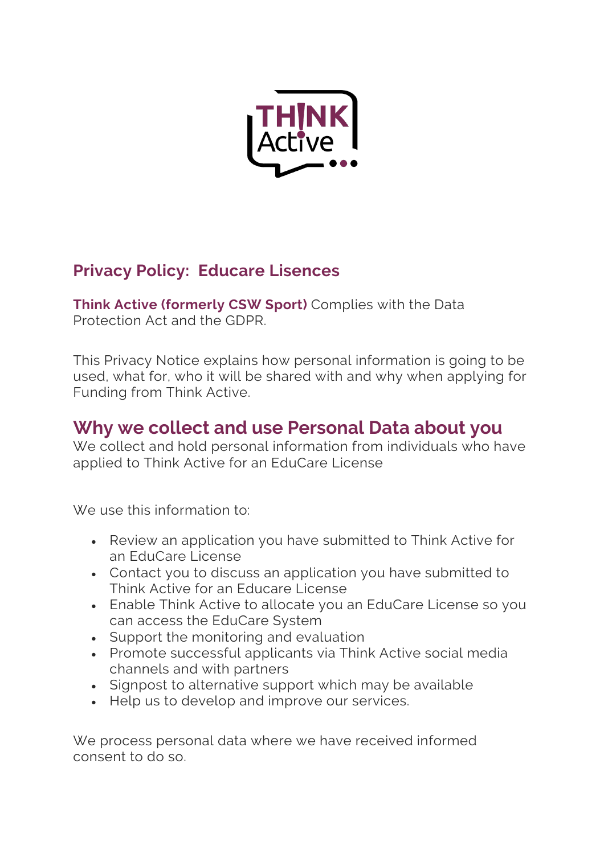

### **Privacy Policy: Educare Lisences**

**Think Active (formerly CSW Sport)** Complies with the Data Protection Act and the GDPR.

This Privacy Notice explains how personal information is going to be used, what for, who it will be shared with and why when applying for Funding from Think Active.

#### **Why we collect and use Personal Data about you**

We collect and hold personal information from individuals who have applied to Think Active for an EduCare License

We use this information to:

- Review an application you have submitted to Think Active for an EduCare License
- Contact you to discuss an application you have submitted to Think Active for an Educare License
- Enable Think Active to allocate you an EduCare License so you can access the EduCare System
- Support the monitoring and evaluation
- Promote successful applicants via Think Active social media channels and with partners
- Signpost to alternative support which may be available
- Help us to develop and improve our services.

We process personal data where we have received informed consent to do so.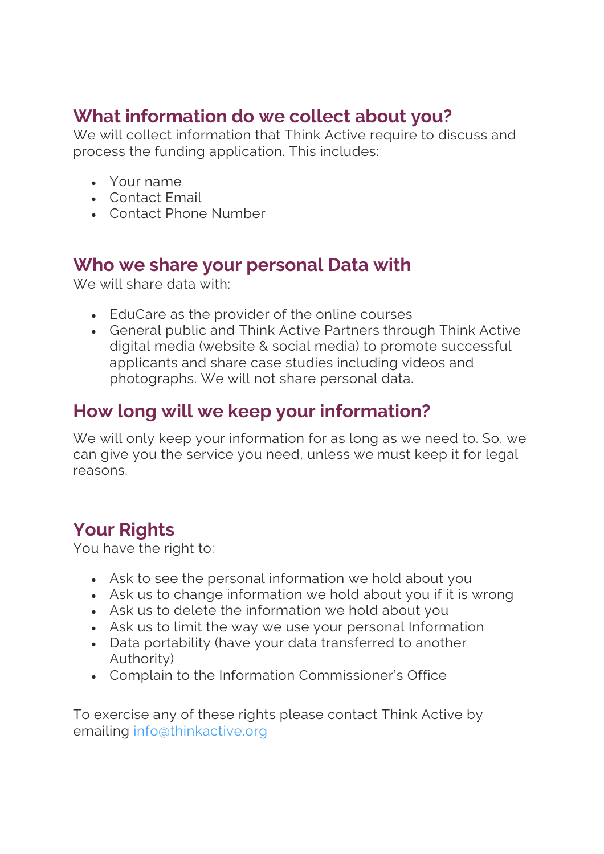# **What information do we collect about you?**

We will collect information that Think Active require to discuss and process the funding application. This includes:

- Your name
- Contact Email
- Contact Phone Number

#### **Who we share your personal Data with**

We will share data with:

- EduCare as the provider of the online courses
- General public and Think Active Partners through Think Active digital media (website & social media) to promote successful applicants and share case studies including videos and photographs. We will not share personal data.

# **How long will we keep your information?**

We will only keep your information for as long as we need to. So, we can give you the service you need, unless we must keep it for legal reasons.

# **Your Rights**

You have the right to:

- Ask to see the personal information we hold about you
- Ask us to change information we hold about you if it is wrong
- Ask us to delete the information we hold about you
- Ask us to limit the way we use your personal Information
- Data portability (have your data transferred to another Authority)
- Complain to the Information Commissioner's Office

To exercise any of these rights please contact Think Active by emailing info@thinkactive.org